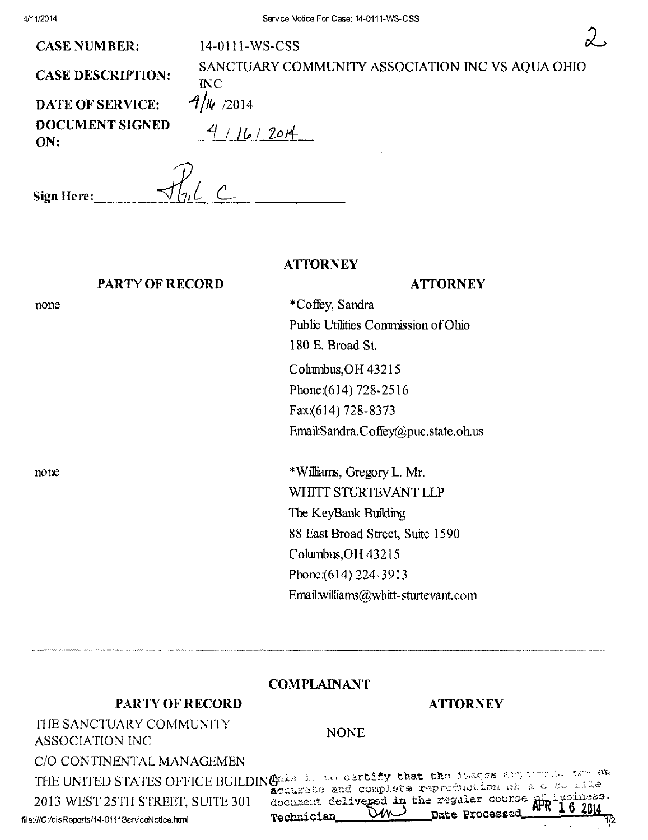**ATTORNEY** 

**CASE NUMBER:** 

**CASE DESCRIPTION:** 

SANCTUARY COMMUNITY ASSOCIATION INC VS AQUA OHIO **INC**  $4/\mu$  /2014

**DATE OF SERVICE:** DOCUMENT SIGNED ON:

 $4/16/2014$ 

14-0111-WS-CSS

Sign Here:

# **PARTY OF RECORD**

## **ATTORNEY**

none

none

\*Coffey, Sandra Public Utilities Commission of Ohio 180 E. Broad St. Columbus, OH 43215 Phone: (614) 728-2516 Fax:(614) 728-8373

Email:Sandra.Coffey@puc.state.oh.us

\*Williams, Gregory L. Mr. WHITT STURTEVANT LLP The KeyBank Building 88 East Broad Street, Suite 1590 Columbus, OH 43215 Phone: (614) 224-3913 Email:williams@whitt-sturtevant.com

#### **COMPLAINANT**

### **PARTY OF RECORD**

#### **ATTORNEY**

THE SANCTUARY COMMUNITY **ASSOCIATION INC** 

**NONE** 

C/O CONTINENTAL MANAGEMEN

2013 WEST 25TH STREET, SUITE 301

THE UNITED STATES OFFICE BUILDING as is to certify that the issees attention and an accurate and complete reproduction of a cose file document delivered in the regular course WN Technician

file:///C:/disReports/14-0111ServiceNotice.html